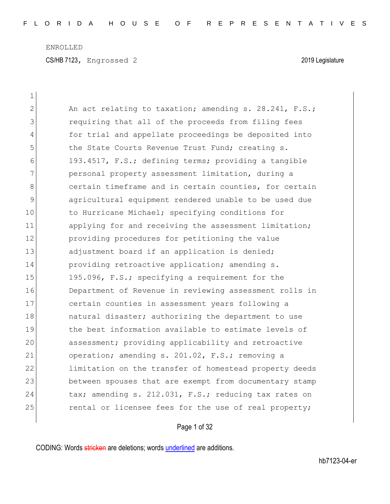CS/HB 7123, Engrossed 2 2019 Legislature

| $\mathbf 1$   |                                                        |
|---------------|--------------------------------------------------------|
| $\mathbf{2}$  | An act relating to taxation; amending s. 28.241, F.S.; |
| 3             | requiring that all of the proceeds from filing fees    |
| 4             | for trial and appellate proceedings be deposited into  |
| 5             | the State Courts Revenue Trust Fund; creating s.       |
| 6             | 193.4517, F.S.; defining terms; providing a tangible   |
| 7             | personal property assessment limitation, during a      |
| $8\,$         | certain timeframe and in certain counties, for certain |
| $\mathcal{G}$ | agricultural equipment rendered unable to be used due  |
| 10            | to Hurricane Michael; specifying conditions for        |
| 11            | applying for and receiving the assessment limitation;  |
| 12            | providing procedures for petitioning the value         |
| 13            | adjustment board if an application is denied;          |
| 14            | providing retroactive application; amending s.         |
| 15            | 195.096, F.S.; specifying a requirement for the        |
| 16            | Department of Revenue in reviewing assessment rolls in |
| 17            | certain counties in assessment years following a       |
| 18            | natural disaster; authorizing the department to use    |
| 19            | the best information available to estimate levels of   |
| 20            | assessment; providing applicability and retroactive    |
| 21            | operation; amending s. 201.02, F.S.; removing a        |
| 22            | limitation on the transfer of homestead property deeds |
| 23            | between spouses that are exempt from documentary stamp |
| 24            | tax; amending s. 212.031, F.S.; reducing tax rates on  |
| 25            | rental or licensee fees for the use of real property;  |
|               |                                                        |

Page 1 of 32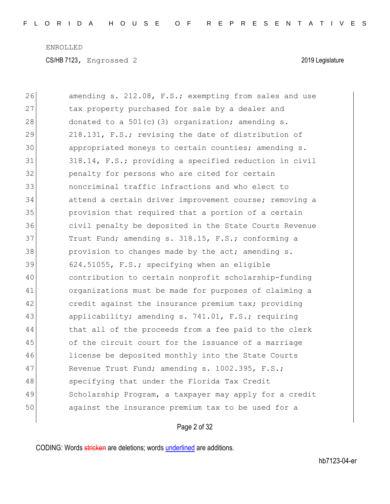| 26 | amending s. 212.08, F.S.; exempting from sales and use |
|----|--------------------------------------------------------|
| 27 | tax property purchased for sale by a dealer and        |
| 28 | donated to a 501(c)(3) organization; amending s.       |
| 29 | 218.131, F.S.; revising the date of distribution of    |
| 30 | appropriated moneys to certain counties; amending s.   |
| 31 | 318.14, F.S.; providing a specified reduction in civil |
| 32 | penalty for persons who are cited for certain          |
| 33 | noncriminal traffic infractions and who elect to       |
| 34 | attend a certain driver improvement course; removing a |
| 35 | provision that required that a portion of a certain    |
| 36 | civil penalty be deposited in the State Courts Revenue |
| 37 | Trust Fund; amending s. 318.15, F.S.; conforming a     |
| 38 | provision to changes made by the act; amending s.      |
| 39 | 624.51055, F.S.; specifying when an eligible           |
| 40 | contribution to certain nonprofit scholarship-funding  |
| 41 | organizations must be made for purposes of claiming a  |
| 42 | credit against the insurance premium tax; providing    |
| 43 | applicability; amending s. 741.01, F.S.; requiring     |
| 44 | that all of the proceeds from a fee paid to the clerk  |
| 45 | of the circuit court for the issuance of a marriage    |
| 46 | license be deposited monthly into the State Courts     |
| 47 | Revenue Trust Fund; amending s. 1002.395, F.S.;        |
| 48 | specifying that under the Florida Tax Credit           |
| 49 | Scholarship Program, a taxpayer may apply for a credit |
| 50 | against the insurance premium tax to be used for a     |
|    |                                                        |

# Page 2 of 32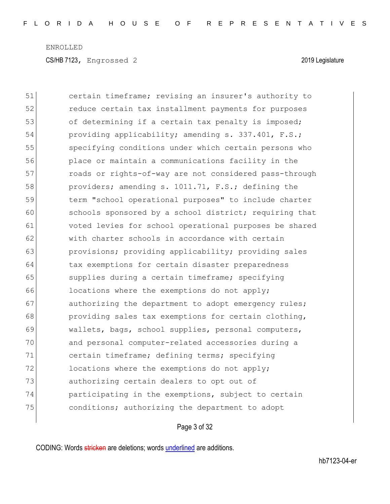| 51 | certain timeframe; revising an insurer's authority to  |
|----|--------------------------------------------------------|
| 52 | reduce certain tax installment payments for purposes   |
| 53 | of determining if a certain tax penalty is imposed;    |
| 54 | providing applicability; amending s. 337.401, F.S.;    |
| 55 | specifying conditions under which certain persons who  |
| 56 | place or maintain a communications facility in the     |
| 57 | roads or rights-of-way are not considered pass-through |
| 58 | providers; amending s. 1011.71, F.S.; defining the     |
| 59 | term "school operational purposes" to include charter  |
| 60 | schools sponsored by a school district; requiring that |
| 61 | voted levies for school operational purposes be shared |
| 62 | with charter schools in accordance with certain        |
| 63 | provisions; providing applicability; providing sales   |
| 64 | tax exemptions for certain disaster preparedness       |
| 65 | supplies during a certain timeframe; specifying        |
| 66 | locations where the exemptions do not apply;           |
| 67 | authorizing the department to adopt emergency rules;   |
| 68 | providing sales tax exemptions for certain clothing,   |
| 69 | wallets, bags, school supplies, personal computers,    |
| 70 | and personal computer-related accessories during a     |
| 71 | certain timeframe; defining terms; specifying          |
| 72 | locations where the exemptions do not apply;           |
| 73 | authorizing certain dealers to opt out of              |
| 74 | participating in the exemptions, subject to certain    |
| 75 | conditions; authorizing the department to adopt        |
|    |                                                        |

Page 3 of 32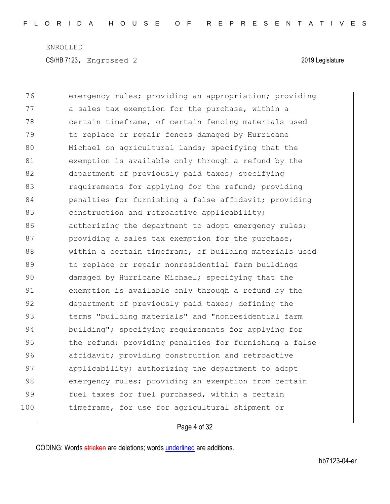CS/HB 7123, Engrossed 2 2019 Legislature

| 76  | emergency rules; providing an appropriation; providing |
|-----|--------------------------------------------------------|
| 77  | a sales tax exemption for the purchase, within a       |
| 78  | certain timeframe, of certain fencing materials used   |
| 79  | to replace or repair fences damaged by Hurricane       |
| 80  | Michael on agricultural lands; specifying that the     |
| 81  | exemption is available only through a refund by the    |
| 82  | department of previously paid taxes; specifying        |
| 83  | requirements for applying for the refund; providing    |
| 84  | penalties for furnishing a false affidavit; providing  |
| 85  | construction and retroactive applicability;            |
| 86  | authorizing the department to adopt emergency rules;   |
| 87  | providing a sales tax exemption for the purchase,      |
| 88  | within a certain timeframe, of building materials used |
| 89  | to replace or repair nonresidential farm buildings     |
| 90  | damaged by Hurricane Michael; specifying that the      |
| 91  | exemption is available only through a refund by the    |
| 92  | department of previously paid taxes; defining the      |
| 93  | terms "building materials" and "nonresidential farm    |
| 94  | building"; specifying requirements for applying for    |
| 95  | the refund; providing penalties for furnishing a false |
| 96  | affidavit; providing construction and retroactive      |
| 97  | applicability; authorizing the department to adopt     |
| 98  | emergency rules; providing an exemption from certain   |
| 99  | fuel taxes for fuel purchased, within a certain        |
| 100 | timeframe, for use for agricultural shipment or        |

# Page 4 of 32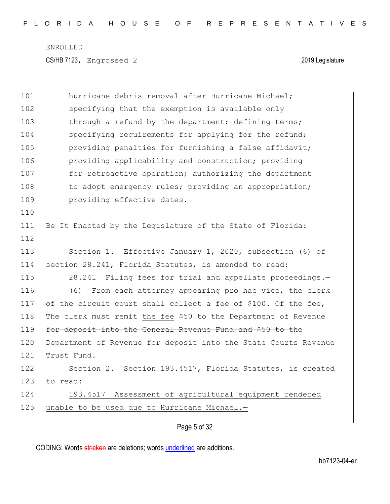| 101 | hurricane debris removal after Hurricane Michael;               |
|-----|-----------------------------------------------------------------|
| 102 | specifying that the exemption is available only                 |
| 103 | through a refund by the department; defining terms;             |
| 104 | specifying requirements for applying for the refund;            |
| 105 | providing penalties for furnishing a false affidavit;           |
| 106 | providing applicability and construction; providing             |
| 107 | for retroactive operation; authorizing the department           |
| 108 | to adopt emergency rules; providing an appropriation;           |
| 109 | providing effective dates.                                      |
| 110 |                                                                 |
| 111 | Be It Enacted by the Legislature of the State of Florida:       |
| 112 |                                                                 |
| 113 | Section 1. Effective January 1, 2020, subsection (6) of         |
| 114 | section 28.241, Florida Statutes, is amended to read:           |
| 115 | 28.241 Filing fees for trial and appellate proceedings.-        |
| 116 | From each attorney appearing pro hac vice, the clerk<br>(6)     |
| 117 | of the circuit court shall collect a fee of \$100. Of the fee,  |
| 118 | The clerk must remit the fee \$50 to the Department of Revenue  |
| 119 | for deposit into the General Revenue Fund and \$50 to the       |
| 120 | Department of Revenue for deposit into the State Courts Revenue |
| 121 | Trust Fund.                                                     |
| 122 | Section 2. Section 193.4517, Florida Statutes, is created       |
| 123 | to read:                                                        |
| 124 | 193.4517 Assessment of agricultural equipment rendered          |
| 125 | unable to be used due to Hurricane Michael.-                    |
|     |                                                                 |

Page 5 of 32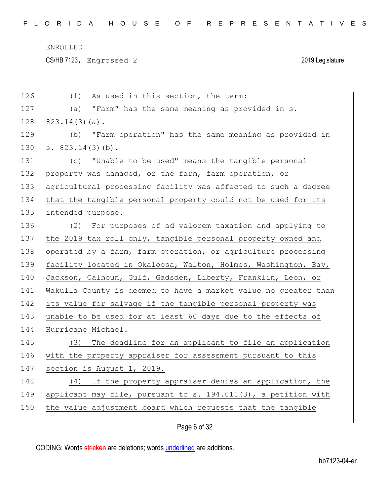CS/HB 7123, Engrossed 2 2019 Legislature

| 126 | As used in this section, the term:<br>(1)                       |
|-----|-----------------------------------------------------------------|
| 127 | "Farm" has the same meaning as provided in s.<br>(a)            |
| 128 | $823.14(3)(a)$ .                                                |
| 129 | "Farm operation" has the same meaning as provided in<br>(b)     |
| 130 | s. 823.14(3)(b).                                                |
| 131 | "Unable to be used" means the tangible personal<br>(C)          |
| 132 | property was damaged, or the farm, farm operation, or           |
| 133 | agricultural processing facility was affected to such a degree  |
| 134 | that the tangible personal property could not be used for its   |
| 135 | intended purpose.                                               |
| 136 | For purposes of ad valorem taxation and applying to<br>(2)      |
| 137 | the 2019 tax roll only, tangible personal property owned and    |
| 138 | operated by a farm, farm operation, or agriculture processing   |
| 139 | facility located in Okaloosa, Walton, Holmes, Washington, Bay,  |
| 140 | Jackson, Calhoun, Gulf, Gadsden, Liberty, Franklin, Leon, or    |
| 141 | Wakulla County is deemed to have a market value no greater than |
| 142 | its value for salvage if the tangible personal property was     |
| 143 | unable to be used for at least 60 days due to the effects of    |
| 144 | Hurricane Michael.                                              |
| 145 | (3) The deadline for an applicant to file an application        |
| 146 | with the property appraiser for assessment pursuant to this     |
| 147 | section is August 1, 2019.                                      |
| 148 | (4) If the property appraiser denies an application, the        |
| 149 | applicant may file, pursuant to s. 194.011(3), a petition with  |
| 150 | the value adjustment board which requests that the tangible     |
|     |                                                                 |

# Page 6 of 32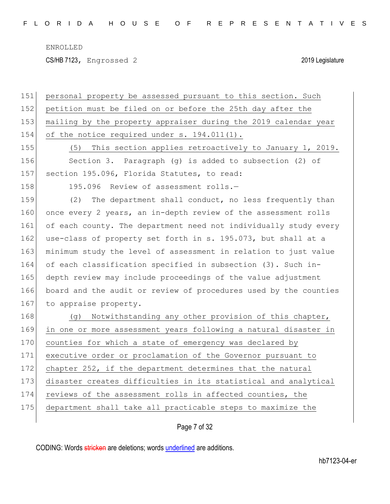CS/HB 7123, Engrossed 2 2019 Legislature

| 151 | personal property be assessed pursuant to this section. Such     |
|-----|------------------------------------------------------------------|
| 152 | petition must be filed on or before the 25th day after the       |
| 153 | mailing by the property appraiser during the 2019 calendar year  |
| 154 | of the notice required under s. 194.011(1).                      |
| 155 | This section applies retroactively to January 1, 2019.<br>(5)    |
| 156 | Section 3. Paragraph (g) is added to subsection (2) of           |
| 157 | section 195.096, Florida Statutes, to read:                      |
| 158 | 195.096 Review of assessment rolls.-                             |
| 159 | (2)<br>The department shall conduct, no less frequently than     |
| 160 | once every 2 years, an in-depth review of the assessment rolls   |
| 161 | of each county. The department need not individually study every |
| 162 | use-class of property set forth in s. 195.073, but shall at a    |
| 163 | minimum study the level of assessment in relation to just value  |
| 164 | of each classification specified in subsection (3). Such in-     |
| 165 | depth review may include proceedings of the value adjustment     |
| 166 | board and the audit or review of procedures used by the counties |
| 167 | to appraise property.                                            |
| 168 | Notwithstanding any other provision of this chapter,<br>(q)      |
| 169 | in one or more assessment years following a natural disaster in  |
| 170 | counties for which a state of emergency was declared by          |
| 171 | executive order or proclamation of the Governor pursuant to      |
| 172 | chapter 252, if the department determines that the natural       |
| 173 | disaster creates difficulties in its statistical and analytical  |
| 174 | reviews of the assessment rolls in affected counties, the        |
| 175 | department shall take all practicable steps to maximize the      |
|     |                                                                  |

Page 7 of 32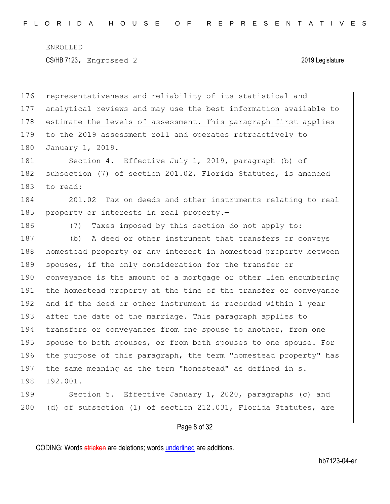CS/HB 7123, Engrossed 2 2019 Legislature

| 176 | representativeness and reliability of its statistical and        |
|-----|------------------------------------------------------------------|
| 177 | analytical reviews and may use the best information available to |
| 178 | estimate the levels of assessment. This paragraph first applies  |
| 179 | to the 2019 assessment roll and operates retroactively to        |
| 180 | January 1, 2019.                                                 |
| 181 | Section 4. Effective July 1, 2019, paragraph (b) of              |
| 182 | subsection (7) of section 201.02, Florida Statutes, is amended   |
| 183 | to read:                                                         |
| 184 | 201.02 Tax on deeds and other instruments relating to real       |
| 185 | property or interests in real property.-                         |
| 186 | Taxes imposed by this section do not apply to:<br>(7)            |
| 187 | A deed or other instrument that transfers or conveys<br>(b)      |
| 188 | homestead property or any interest in homestead property between |
| 189 | spouses, if the only consideration for the transfer or           |
| 190 | conveyance is the amount of a mortgage or other lien encumbering |
| 191 | the homestead property at the time of the transfer or conveyance |
| 192 | and if the deed or other instrument is recorded within 1 year    |
| 193 | after the date of the marriage. This paragraph applies to        |
| 194 | transfers or conveyances from one spouse to another, from one    |
| 195 | spouse to both spouses, or from both spouses to one spouse. For  |
| 196 | the purpose of this paragraph, the term "homestead property" has |
| 197 | the same meaning as the term "homestead" as defined in s.        |
| 198 | 192.001.                                                         |
| 199 | Section 5. Effective January 1, 2020, paragraphs (c) and         |
| 200 | (d) of subsection (1) of section 212.031, Florida Statutes, are  |
|     | Page 8 of 32                                                     |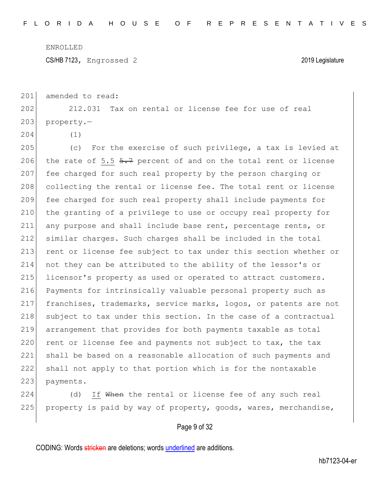CS/HB 7123, Engrossed 2 2019 Legislature

201 amended to read:

202 212.031 Tax on rental or license fee for use of real 203 property.-

204 (1)

205 (c) For the exercise of such privilege, a tax is levied at 206 the rate of 5.5  $5.7$  percent of and on the total rent or license 207 fee charged for such real property by the person charging or 208 collecting the rental or license fee. The total rent or license 209 fee charged for such real property shall include payments for 210 the granting of a privilege to use or occupy real property for 211 any purpose and shall include base rent, percentage rents, or 212 similar charges. Such charges shall be included in the total 213 rent or license fee subject to tax under this section whether or 214 not they can be attributed to the ability of the lessor's or 215 licensor's property as used or operated to attract customers. 216 Payments for intrinsically valuable personal property such as 217 franchises, trademarks, service marks, logos, or patents are not 218 subject to tax under this section. In the case of a contractual 219 arrangement that provides for both payments taxable as total  $220$  rent or license fee and payments not subject to tax, the tax 221 shall be based on a reasonable allocation of such payments and 222 shall not apply to that portion which is for the nontaxable 223 payments.

224 (d) If When the rental or license fee of any such real 225 property is paid by way of property, goods, wares, merchandise,

#### Page 9 of 32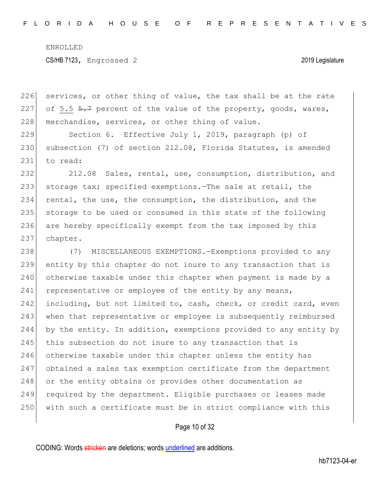226 services, or other thing of value, the tax shall be at the rate 227 of 5.5  $5.7$  percent of the value of the property, goods, wares, 228 merchandise, services, or other thing of value.

229 Section 6. Effective July 1, 2019, paragraph (p) of 230 subsection (7) of section 212.08, Florida Statutes, is amended 231 to read:

232 212.08 Sales, rental, use, consumption, distribution, and 233 storage tax; specified exemptions.—The sale at retail, the 234 rental, the use, the consumption, the distribution, and the 235 storage to be used or consumed in this state of the following 236 are hereby specifically exempt from the tax imposed by this 237 chapter.

238 (7) MISCELLANEOUS EXEMPTIONS.—Exemptions provided to any 239 entity by this chapter do not inure to any transaction that is 240 otherwise taxable under this chapter when payment is made by a 241 representative or employee of the entity by any means, 242 including, but not limited to, cash, check, or credit card, even 243 when that representative or employee is subsequently reimbursed 244 by the entity. In addition, exemptions provided to any entity by 245 this subsection do not inure to any transaction that is 246 otherwise taxable under this chapter unless the entity has 247 obtained a sales tax exemption certificate from the department 248 or the entity obtains or provides other documentation as 249 required by the department. Eligible purchases or leases made 250 with such a certificate must be in strict compliance with this

#### Page 10 of 32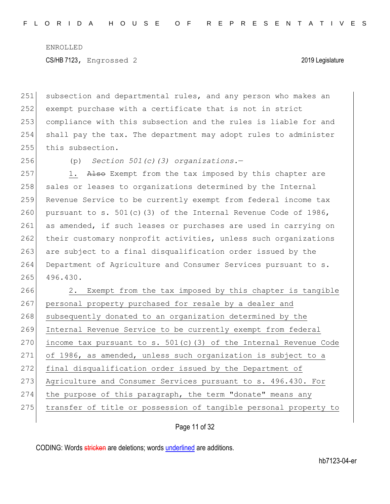CS/HB 7123, Engrossed 2 2019 Legislature

251 subsection and departmental rules, and any person who makes an 252 exempt purchase with a certificate that is not in strict 253 compliance with this subsection and the rules is liable for and 254 shall pay the tax. The department may adopt rules to administer 255 this subsection.

256 (p) *Section 501(c)(3) organizations.*—

257 1. Also Exempt from the tax imposed by this chapter are 258 sales or leases to organizations determined by the Internal 259 Revenue Service to be currently exempt from federal income tax 260 pursuant to s. 501(c)(3) of the Internal Revenue Code of 1986, 261 as amended, if such leases or purchases are used in carrying on 262 their customary nonprofit activities, unless such organizations 263 are subject to a final disqualification order issued by the 264 Department of Agriculture and Consumer Services pursuant to s. 265 496.430.

266 2. Exempt from the tax imposed by this chapter is tangible 267 personal property purchased for resale by a dealer and 268 subsequently donated to an organization determined by the 269 Internal Revenue Service to be currently exempt from federal 270 income tax pursuant to s.  $501(c)$  (3) of the Internal Revenue Code 271 of 1986, as amended, unless such organization is subject to a 272 final disqualification order issued by the Department of 273 Agriculture and Consumer Services pursuant to s. 496.430. For 274 the purpose of this paragraph, the term "donate" means any 275 transfer of title or possession of tangible personal property to

Page 11 of 32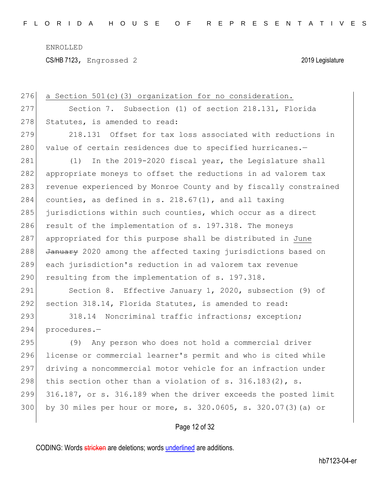CS/HB 7123, Engrossed 2 2019 Legislature

| 276 | a Section 501(c)(3) organization for no consideration.           |
|-----|------------------------------------------------------------------|
| 277 | Section 7. Subsection (1) of section 218.131, Florida            |
| 278 | Statutes, is amended to read:                                    |
| 279 | Offset for tax loss associated with reductions in<br>218.131     |
| 280 | value of certain residences due to specified hurricanes.-        |
| 281 | In the 2019-2020 fiscal year, the Legislature shall<br>(1)       |
| 282 | appropriate moneys to offset the reductions in ad valorem tax    |
| 283 | revenue experienced by Monroe County and by fiscally constrained |
| 284 | counties, as defined in s. $218.67(1)$ , and all taxing          |
| 285 | jurisdictions within such counties, which occur as a direct      |
| 286 | result of the implementation of s. 197.318. The moneys           |
| 287 | appropriated for this purpose shall be distributed in June       |
| 288 | January 2020 among the affected taxing jurisdictions based on    |
| 289 | each jurisdiction's reduction in ad valorem tax revenue          |
| 290 | resulting from the implementation of s. 197.318.                 |
| 291 | Section 8. Effective January 1, 2020, subsection (9) of          |
| 292 | section 318.14, Florida Statutes, is amended to read:            |
| 293 | 318.14 Noncriminal traffic infractions; exception;               |
| 294 | procedures.-                                                     |
| 295 | Any person who does not hold a commercial driver<br>(9)          |
| 296 | license or commercial learner's permit and who is cited while    |
| 297 | driving a noncommercial motor vehicle for an infraction under    |
| 298 | this section other than a violation of s. $316.183(2)$ , s.      |
| 299 | 316.187, or s. 316.189 when the driver exceeds the posted limit  |
| 300 | by 30 miles per hour or more, s. 320.0605, s. 320.07(3) (a) or   |
|     |                                                                  |

Page 12 of 32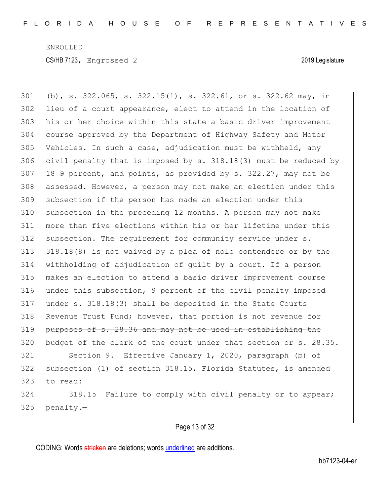(b), s. 322.065, s. 322.15(1), s. 322.61, or s. 322.62 may, in lieu of a court appearance, elect to attend in the location of his or her choice within this state a basic driver improvement course approved by the Department of Highway Safety and Motor Vehicles. In such a case, adjudication must be withheld, any civil penalty that is imposed by s. 318.18(3) must be reduced by 18  $9$  percent, and points, as provided by s. 322.27, may not be 308 assessed. However, a person may not make an election under this subsection if the person has made an election under this subsection in the preceding 12 months. A person may not make more than five elections within his or her lifetime under this subsection. The requirement for community service under s.  $|$  318.18(8) is not waived by a plea of nolo contendere or by the 314 withholding of adjudication of quilt by a court.  $\pm f$  a person makes an election to attend a basic driver improvement course 316 under this subsection, 9 percent of the civil penalty imposed under s. 318.18(3) shall be deposited in the State Courts 318 Revenue Trust Fund; however, that portion is not revenue for purposes of s. 28.36 and may not be used in establishing the 320 budget of the clerk of the court under that section or s. 28.35. Section 9. Effective January 1, 2020, paragraph (b) of subsection (1) of section 318.15, Florida Statutes, is amended 323 to read: 324 318.15 Failure to comply with civil penalty or to appear; penalty.-

#### Page 13 of 32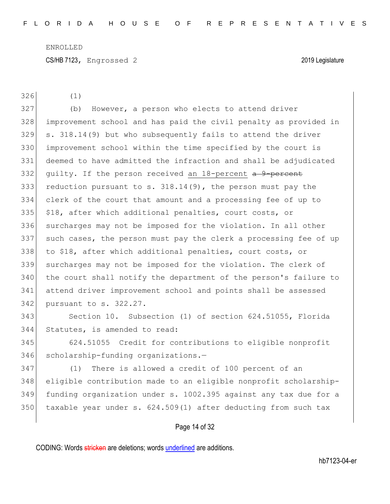CS/HB 7123, Engrossed 2 2019 Legislature

(1)

 (b) However, a person who elects to attend driver improvement school and has paid the civil penalty as provided in s. 318.14(9) but who subsequently fails to attend the driver improvement school within the time specified by the court is deemed to have admitted the infraction and shall be adjudicated 332 quilty. If the person received an -percent  $a^2$ -percent 333 reduction pursuant to s.  $318.14(9)$ , the person must pay the clerk of the court that amount and a processing fee of up to \$18, after which additional penalties, court costs, or surcharges may not be imposed for the violation. In all other such cases, the person must pay the clerk a processing fee of up 338 to \$18, after which additional penalties, court costs, or surcharges may not be imposed for the violation. The clerk of the court shall notify the department of the person's failure to attend driver improvement school and points shall be assessed 342 pursuant to s. 322.27.

 Section 10. Subsection (1) of section 624.51055, Florida Statutes, is amended to read:

 624.51055 Credit for contributions to eligible nonprofit 346 scholarship-funding organizations.-

 (1) There is allowed a credit of 100 percent of an eligible contribution made to an eligible nonprofit scholarship- funding organization under s. 1002.395 against any tax due for a taxable year under s. 624.509(1) after deducting from such tax

#### Page 14 of 32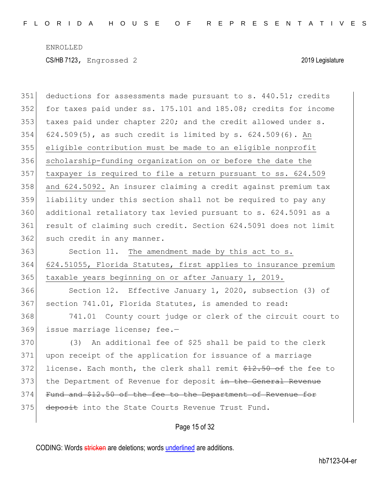| 351 | deductions for assessments made pursuant to s. 440.51; credits   |
|-----|------------------------------------------------------------------|
| 352 | for taxes paid under ss. 175.101 and 185.08; credits for income  |
| 353 | taxes paid under chapter 220; and the credit allowed under s.    |
| 354 | $624.509(5)$ , as such credit is limited by s. $624.509(6)$ . An |
| 355 | eligible contribution must be made to an eligible nonprofit      |
| 356 | scholarship-funding organization on or before the date the       |
| 357 | taxpayer is required to file a return pursuant to ss. 624.509    |
| 358 | and 624.5092. An insurer claiming a credit against premium tax   |
| 359 | liability under this section shall not be required to pay any    |
| 360 | additional retaliatory tax levied pursuant to s. 624.5091 as a   |
| 361 | result of claiming such credit. Section 624.5091 does not limit  |
| 362 | such credit in any manner.                                       |
| 363 | Section 11. The amendment made by this act to s.                 |
| 364 | 624.51055, Florida Statutes, first applies to insurance premium  |
| 365 | taxable years beginning on or after January 1, 2019.             |
| 366 | Section 12. Effective January 1, 2020, subsection (3) of         |
| 367 | section 741.01, Florida Statutes, is amended to read:            |
| 368 | 741.01 County court judge or clerk of the circuit court to       |
| 369 | issue marriage license; fee.-                                    |
| 370 | (3) An additional fee of \$25 shall be paid to the clerk         |
| 371 | upon receipt of the application for issuance of a marriage       |
| 372 | license. Each month, the clerk shall remit \$12.50 of the fee to |
| 373 | the Department of Revenue for deposit in the General Revenue     |
| 374 | Fund and \$12.50 of the fee to the Department of Revenue for     |
| 375 | deposit into the State Courts Revenue Trust Fund.                |
|     |                                                                  |

Page 15 of 32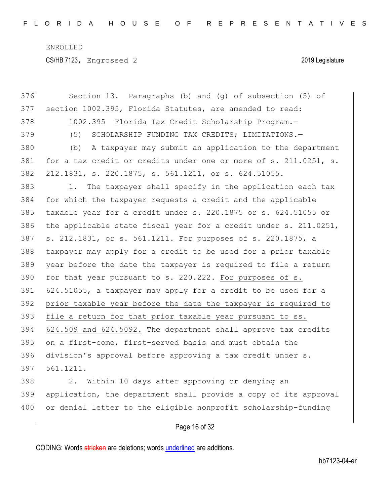CS/HB 7123, Engrossed 2 2019 Legislature

| 376 | Section 13. Paragraphs (b) and (g) of subsection (5) of          |
|-----|------------------------------------------------------------------|
| 377 | section 1002.395, Florida Statutes, are amended to read:         |
| 378 | 1002.395 Florida Tax Credit Scholarship Program.-                |
| 379 | (5)<br>SCHOLARSHIP FUNDING TAX CREDITS; LIMITATIONS.-            |
| 380 | A taxpayer may submit an application to the department<br>(b)    |
| 381 | for a tax credit or credits under one or more of s. 211.0251, s. |
| 382 | 212.1831, s. 220.1875, s. 561.1211, or s. 624.51055.             |
| 383 | The taxpayer shall specify in the application each tax<br>1.     |
| 384 | for which the taxpayer requests a credit and the applicable      |
| 385 | taxable year for a credit under s. 220.1875 or s. 624.51055 or   |
| 386 | the applicable state fiscal year for a credit under s. 211.0251, |
| 387 | s. 212.1831, or s. 561.1211. For purposes of s. 220.1875, a      |
| 388 | taxpayer may apply for a credit to be used for a prior taxable   |
| 389 | year before the date the taxpayer is required to file a return   |
| 390 | for that year pursuant to s. 220.222. For purposes of s.         |
| 391 | 624.51055, a taxpayer may apply for a credit to be used for a    |
| 392 | prior taxable year before the date the taxpayer is required to   |
| 393 | file a return for that prior taxable year pursuant to ss.        |
| 394 | 624.509 and 624.5092. The department shall approve tax credits   |
| 395 | on a first-come, first-served basis and must obtain the          |
| 396 | division's approval before approving a tax credit under s.       |
| 397 | 561.1211.                                                        |
| 398 | Within 10 days after approving or denying an<br>2.               |
| 399 | application, the department shall provide a copy of its approval |
| 400 | or denial letter to the eligible nonprofit scholarship-funding   |
|     |                                                                  |

# Page 16 of 32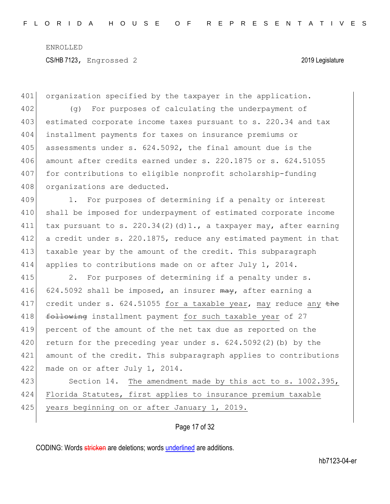401 organization specified by the taxpayer in the application. 402 (g) For purposes of calculating the underpayment of 403 estimated corporate income taxes pursuant to s. 220.34 and tax 404 installment payments for taxes on insurance premiums or 405 assessments under s.  $624.5092$ , the final amount due is the  $406$  amount after credits earned under s. 220.1875 or s. 624.51055 407 for contributions to eligible nonprofit scholarship-funding 408 organizations are deducted. 409 1. For purposes of determining if a penalty or interest 410 shall be imposed for underpayment of estimated corporate income 411 tax pursuant to s. 220.34(2)(d)1., a taxpayer may, after earning 412 a credit under s. 220.1875, reduce any estimated payment in that 413 taxable year by the amount of the credit. This subparagraph 414 applies to contributions made on or after July 1, 2014. 415 2. For purposes of determining if a penalty under s. 416 624.5092 shall be imposed, an insurer  $\frac{m}{4}$ , after earning a 417 credit under s.  $624.51055$  for a taxable year, may reduce any  $\pm$ he 418 following installment payment for such taxable year of 27 419 percent of the amount of the net tax due as reported on the 420 return for the preceding year under s. 624.5092(2)(b) by the 421 amount of the credit. This subparagraph applies to contributions 422 made on or after July 1, 2014. 423 Section 14. The amendment made by this act to s. 1002.395, 424 Florida Statutes, first applies to insurance premium taxable 425 years beginning on or after January 1, 2019.

Page 17 of 32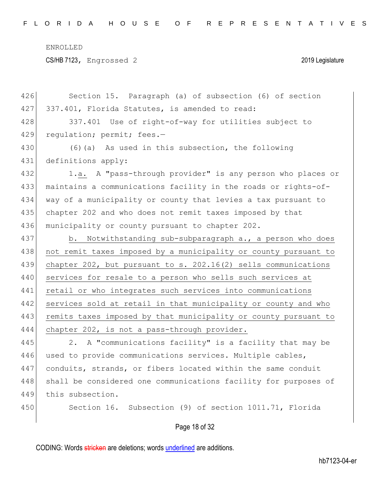CS/HB 7123, Engrossed 2 2019 Legislature

Page 18 of 32 426 Section 15. Paragraph (a) of subsection (6) of section 427 337.401, Florida Statutes, is amended to read: 428 337.401 Use of right-of-way for utilities subject to 429 regulation; permit; fees.-430 (6)(a) As used in this subsection, the following 431 definitions apply: 432 1.a. A "pass-through provider" is any person who places or 433 maintains a communications facility in the roads or rights-of-434 way of a municipality or county that levies a tax pursuant to 435 chapter 202 and who does not remit taxes imposed by that 436 municipality or county pursuant to chapter 202. 437 b. Notwithstanding sub-subparagraph a., a person who does 438 | not remit taxes imposed by a municipality or county pursuant to 439 chapter 202, but pursuant to s. 202.16(2) sells communications 440 services for resale to a person who sells such services at 441 retail or who integrates such services into communications 442 services sold at retail in that municipality or county and who 443 remits taxes imposed by that municipality or county pursuant to 444 chapter 202, is not a pass-through provider. 445 2. A "communications facility" is a facility that may be 446 used to provide communications services. Multiple cables, 447 conduits, strands, or fibers located within the same conduit 448 shall be considered one communications facility for purposes of 449 this subsection. 450 Section 16. Subsection (9) of section 1011.71, Florida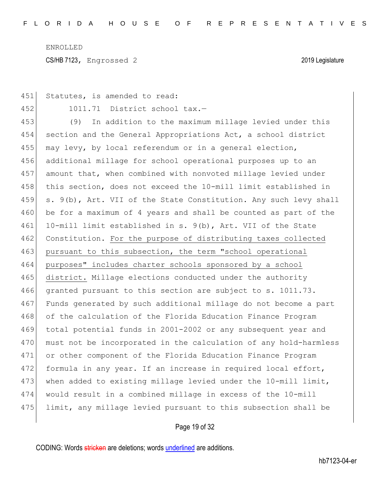451 Statutes, is amended to read:

452 1011.71 District school tax.—

453 (9) In addition to the maximum millage levied under this 454 section and the General Appropriations Act, a school district 455 may levy, by local referendum or in a general election, 456 additional millage for school operational purposes up to an 457 amount that, when combined with nonvoted millage levied under 458 this section, does not exceed the 10-mill limit established in 459 s. 9(b), Art. VII of the State Constitution. Any such levy shall 460 be for a maximum of 4 years and shall be counted as part of the 461 10-mill limit established in s. 9(b), Art. VII of the State 462 Constitution. For the purpose of distributing taxes collected 463 pursuant to this subsection, the term "school operational 464 purposes" includes charter schools sponsored by a school 465 district. Millage elections conducted under the authority 466 granted pursuant to this section are subject to s. 1011.73. 467 Funds generated by such additional millage do not become a part 468 of the calculation of the Florida Education Finance Program 469 total potential funds in 2001-2002 or any subsequent year and 470 must not be incorporated in the calculation of any hold-harmless 471 or other component of the Florida Education Finance Program 472 formula in any year. If an increase in required local effort, 473 when added to existing millage levied under the 10-mill limit, 474 would result in a combined millage in excess of the 10-mill 475 limit, any millage levied pursuant to this subsection shall be

Page 19 of 32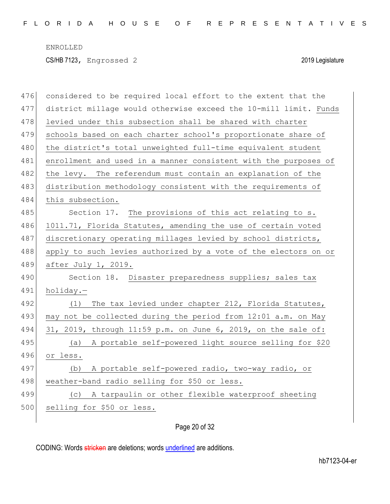| 476 | considered to be required local effort to the extent that the    |
|-----|------------------------------------------------------------------|
| 477 | district millage would otherwise exceed the 10-mill limit. Funds |
| 478 | levied under this subsection shall be shared with charter        |
| 479 | schools based on each charter school's proportionate share of    |
| 480 | the district's total unweighted full-time equivalent student     |
| 481 | enrollment and used in a manner consistent with the purposes of  |
| 482 | the levy. The referendum must contain an explanation of the      |
| 483 | distribution methodology consistent with the requirements of     |
| 484 | this subsection.                                                 |
| 485 | Section 17. The provisions of this act relating to s.            |
| 486 | 1011.71, Florida Statutes, amending the use of certain voted     |
| 487 | discretionary operating millages levied by school districts,     |
| 488 | apply to such levies authorized by a vote of the electors on or  |
| 489 | after July 1, 2019.                                              |
| 490 | Section 18. Disaster preparedness supplies; sales tax            |
| 491 | holiday.-                                                        |
| 492 | The tax levied under chapter 212, Florida Statutes,<br>(1)       |
| 493 | may not be collected during the period from 12:01 a.m. on May    |
| 494 | 31, 2019, through 11:59 p.m. on June 6, 2019, on the sale of:    |
| 495 | (a) A portable self-powered light source selling for \$20        |
| 496 | or less.                                                         |
| 497 | A portable self-powered radio, two-way radio, or<br>(b)          |
| 498 | weather-band radio selling for \$50 or less.                     |
| 499 | (c) A tarpaulin or other flexible waterproof sheeting            |
|     |                                                                  |
| 500 | selling for \$50 or less.                                        |

# Page 20 of 32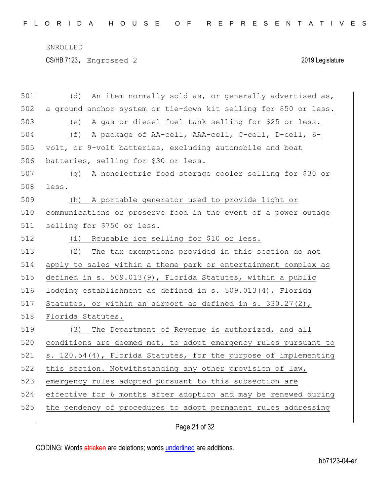CS/HB 7123, Engrossed 2 2019 Legislature

| 501 | An item normally sold as, or generally advertised as,<br>(d)     |
|-----|------------------------------------------------------------------|
| 502 | a ground anchor system or tie-down kit selling for \$50 or less. |
| 503 | (e) A gas or diesel fuel tank selling for \$25 or less.          |
| 504 | (f) A package of AA-cell, AAA-cell, C-cell, D-cell, 6-           |
| 505 | volt, or 9-volt batteries, excluding automobile and boat         |
| 506 | batteries, selling for \$30 or less.                             |
| 507 | A nonelectric food storage cooler selling for \$30 or<br>(q)     |
| 508 | less.                                                            |
| 509 | A portable generator used to provide light or<br>(h)             |
| 510 | communications or preserve food in the event of a power outage   |
| 511 | selling for \$750 or less.                                       |
| 512 | (i) Reusable ice selling for \$10 or less.                       |
| 513 | (2)<br>The tax exemptions provided in this section do not        |
| 514 | apply to sales within a theme park or entertainment complex as   |
| 515 | defined in s. 509.013(9), Florida Statutes, within a public      |
| 516 | lodging establishment as defined in s. 509.013(4), Florida       |
| 517 | Statutes, or within an airport as defined in s. 330.27(2),       |
| 518 | Florida Statutes.                                                |
| 519 | (3) The Department of Revenue is authorized, and all             |
| 520 | conditions are deemed met, to adopt emergency rules pursuant to  |
| 521 | s. 120.54(4), Florida Statutes, for the purpose of implementing  |
| 522 | this section. Notwithstanding any other provision of law,        |
| 523 | emergency rules adopted pursuant to this subsection are          |
| 524 | effective for 6 months after adoption and may be renewed during  |
| 525 | the pendency of procedures to adopt permanent rules addressing   |
|     |                                                                  |

Page 21 of 32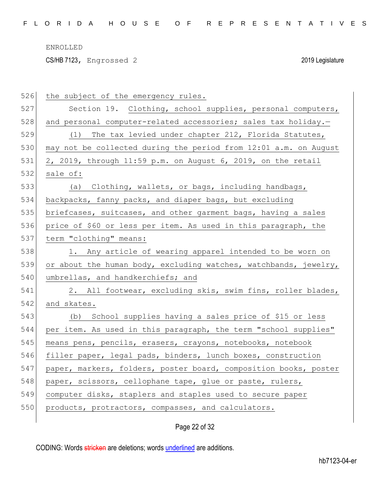CS/HB 7123, Engrossed 2 2019 Legislature

| 526 | the subject of the emergency rules.                              |
|-----|------------------------------------------------------------------|
| 527 | Section 19. Clothing, school supplies, personal computers,       |
| 528 | and personal computer-related accessories; sales tax holiday.-   |
| 529 | The tax levied under chapter 212, Florida Statutes,<br>(1)       |
| 530 | may not be collected during the period from 12:01 a.m. on August |
| 531 | 2, 2019, through 11:59 p.m. on August 6, 2019, on the retail     |
| 532 | sale of:                                                         |
| 533 | (a) Clothing, wallets, or bags, including handbags,              |
| 534 | backpacks, fanny packs, and diaper bags, but excluding           |
| 535 | briefcases, suitcases, and other garment bags, having a sales    |
| 536 | price of \$60 or less per item. As used in this paragraph, the   |
| 537 | term "clothing" means:                                           |
| 538 | 1. Any article of wearing apparel intended to be worn on         |
| 539 | or about the human body, excluding watches, watchbands, jewelry, |
| 540 | umbrellas, and handkerchiefs; and                                |
| 541 | 2. All footwear, excluding skis, swim fins, roller blades,       |
| 542 | and skates.                                                      |
| 543 | (b) School supplies having a sales price of \$15 or less         |
| 544 | per item. As used in this paragraph, the term "school supplies"  |
| 545 | means pens, pencils, erasers, crayons, notebooks, notebook       |
| 546 | filler paper, legal pads, binders, lunch boxes, construction     |
| 547 | paper, markers, folders, poster board, composition books, poster |
| 548 | paper, scissors, cellophane tape, glue or paste, rulers,         |
| 549 | computer disks, staplers and staples used to secure paper        |
| 550 | products, protractors, compasses, and calculators.               |
|     |                                                                  |

Page 22 of 32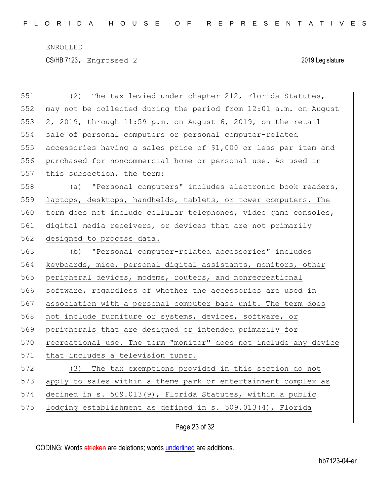CS/HB 7123, Engrossed 2 2019 Legislature

| 551 | The tax levied under chapter 212, Florida Statutes,<br>(2)       |
|-----|------------------------------------------------------------------|
| 552 | may not be collected during the period from 12:01 a.m. on August |
| 553 | 2, 2019, through 11:59 p.m. on August 6, 2019, on the retail     |
| 554 | sale of personal computers or personal computer-related          |
| 555 | accessories having a sales price of \$1,000 or less per item and |
| 556 | purchased for noncommercial home or personal use. As used in     |
| 557 | this subsection, the term:                                       |
| 558 | (a) "Personal computers" includes electronic book readers,       |
| 559 | laptops, desktops, handhelds, tablets, or tower computers. The   |
| 560 | term does not include cellular telephones, video game consoles,  |
| 561 | digital media receivers, or devices that are not primarily       |
| 562 | designed to process data.                                        |
| 563 | "Personal computer-related accessories" includes<br>(b)          |
| 564 | keyboards, mice, personal digital assistants, monitors, other    |
| 565 | peripheral devices, modems, routers, and nonrecreational         |
| 566 | software, regardless of whether the accessories are used in      |
| 567 | association with a personal computer base unit. The term does    |
| 568 | not include furniture or systems, devices, software, or          |
| 569 | peripherals that are designed or intended primarily for          |
| 570 | recreational use. The term "monitor" does not include any device |
| 571 | that includes a television tuner.                                |
| 572 | (3) The tax exemptions provided in this section do not           |
| 573 | apply to sales within a theme park or entertainment complex as   |
| 574 | defined in s. $509.013(9)$ , Florida Statutes, within a public   |
| 575 | lodging establishment as defined in s. 509.013(4), Florida       |
|     |                                                                  |

# Page 23 of 32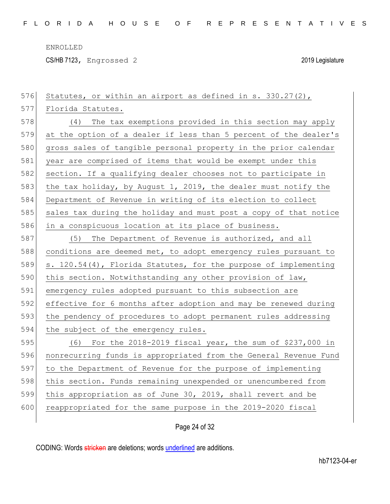CS/HB 7123, Engrossed 2 2019 Legislature

| 576 | Statutes, or within an airport as defined in s. 330.27(2),       |
|-----|------------------------------------------------------------------|
| 577 | Florida Statutes.                                                |
| 578 | (4) The tax exemptions provided in this section may apply        |
| 579 | at the option of a dealer if less than 5 percent of the dealer's |
| 580 | gross sales of tangible personal property in the prior calendar  |
| 581 | year are comprised of items that would be exempt under this      |
| 582 | section. If a qualifying dealer chooses not to participate in    |
| 583 | the tax holiday, by August 1, 2019, the dealer must notify the   |
| 584 | Department of Revenue in writing of its election to collect      |
| 585 | sales tax during the holiday and must post a copy of that notice |
| 586 | in a conspicuous location at its place of business.              |
| 587 | The Department of Revenue is authorized, and all<br>(5)          |
| 588 | conditions are deemed met, to adopt emergency rules pursuant to  |
| 589 | s. 120.54(4), Florida Statutes, for the purpose of implementing  |
| 590 | this section. Notwithstanding any other provision of law,        |
| 591 | emergency rules adopted pursuant to this subsection are          |
| 592 | effective for 6 months after adoption and may be renewed during  |
| 593 | the pendency of procedures to adopt permanent rules addressing   |
| 594 | the subject of the emergency rules.                              |
| 595 | (6) For the 2018-2019 fiscal year, the sum of \$237,000 in       |
| 596 | nonrecurring funds is appropriated from the General Revenue Fund |
| 597 | to the Department of Revenue for the purpose of implementing     |
| 598 | this section. Funds remaining unexpended or unencumbered from    |
| 599 | this appropriation as of June 30, 2019, shall revert and be      |
| 600 | reappropriated for the same purpose in the 2019-2020 fiscal      |
|     |                                                                  |

# Page 24 of 32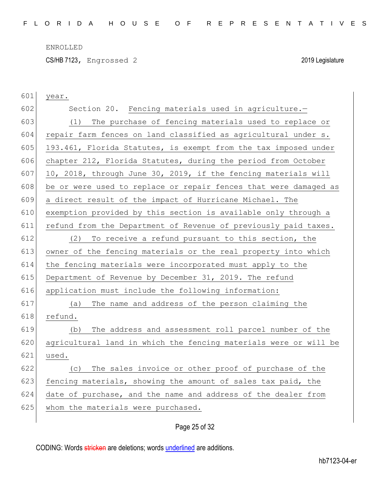CS/HB 7123, Engrossed 2 2019 Legislature

| 601 | year.                                                            |
|-----|------------------------------------------------------------------|
| 602 | Section 20. Fencing materials used in agriculture.-              |
| 603 | (1) The purchase of fencing materials used to replace or         |
| 604 | repair farm fences on land classified as agricultural under s.   |
| 605 | 193.461, Florida Statutes, is exempt from the tax imposed under  |
| 606 | chapter 212, Florida Statutes, during the period from October    |
| 607 | 10, 2018, through June 30, 2019, if the fencing materials will   |
| 608 | be or were used to replace or repair fences that were damaged as |
| 609 | a direct result of the impact of Hurricane Michael. The          |
| 610 | exemption provided by this section is available only through a   |
| 611 | refund from the Department of Revenue of previously paid taxes.  |
| 612 | To receive a refund pursuant to this section, the<br>(2)         |
| 613 | owner of the fencing materials or the real property into which   |
| 614 | the fencing materials were incorporated must apply to the        |
| 615 | Department of Revenue by December 31, 2019. The refund           |
| 616 | application must include the following information:              |
| 617 | The name and address of the person claiming the<br>(a)           |
| 618 | refund.                                                          |
| 619 | The address and assessment roll parcel number of the<br>(b)      |
| 620 | agricultural land in which the fencing materials were or will be |
| 621 | used.                                                            |
| 622 | The sales invoice or other proof of purchase of the<br>(C)       |
| 623 | fencing materials, showing the amount of sales tax paid, the     |
| 624 | date of purchase, and the name and address of the dealer from    |
| 625 | whom the materials were purchased.                               |
|     |                                                                  |

# Page 25 of 32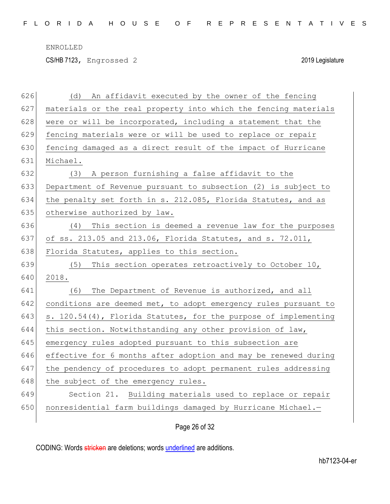CS/HB 7123, Engrossed 2 2019 Legislature

| 626 | An affidavit executed by the owner of the fencing<br>(d)        |
|-----|-----------------------------------------------------------------|
| 627 | materials or the real property into which the fencing materials |
| 628 | were or will be incorporated, including a statement that the    |
| 629 | fencing materials were or will be used to replace or repair     |
| 630 | fencing damaged as a direct result of the impact of Hurricane   |
| 631 | Michael.                                                        |
| 632 | (3) A person furnishing a false affidavit to the                |
| 633 | Department of Revenue pursuant to subsection (2) is subject to  |
| 634 | the penalty set forth in s. 212.085, Florida Statutes, and as   |
| 635 | otherwise authorized by law.                                    |
| 636 | (4) This section is deemed a revenue law for the purposes       |
| 637 | of ss. 213.05 and 213.06, Florida Statutes, and s. 72.011,      |
| 638 | Florida Statutes, applies to this section.                      |
| 639 | This section operates retroactively to October 10,<br>(5)       |
| 640 | 2018.                                                           |
| 641 | The Department of Revenue is authorized, and all<br>(6)         |
| 642 | conditions are deemed met, to adopt emergency rules pursuant to |
| 643 | s. 120.54(4), Florida Statutes, for the purpose of implementing |
| 644 | this section. Notwithstanding any other provision of law,       |
| 645 | emergency rules adopted pursuant to this subsection are         |
| 646 | effective for 6 months after adoption and may be renewed during |
| 647 | the pendency of procedures to adopt permanent rules addressing  |
| 648 | the subject of the emergency rules.                             |
| 649 | Section 21. Building materials used to replace or repair        |
| 650 | nonresidential farm buildings damaged by Hurricane Michael.-    |
|     |                                                                 |

Page 26 of 32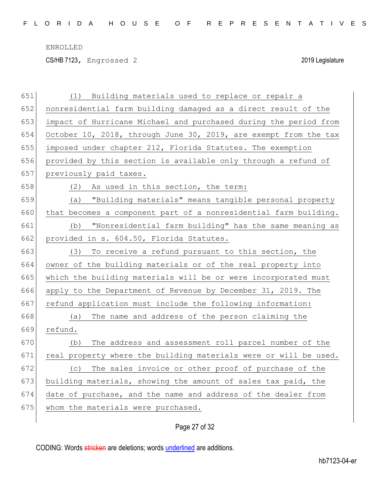CS/HB 7123, Engrossed 2 2019 Legislature

| 651 | Building materials used to replace or repair a<br>(1)            |
|-----|------------------------------------------------------------------|
| 652 | nonresidential farm building damaged as a direct result of the   |
| 653 | impact of Hurricane Michael and purchased during the period from |
| 654 | October 10, 2018, through June 30, 2019, are exempt from the tax |
| 655 | imposed under chapter 212, Florida Statutes. The exemption       |
| 656 | provided by this section is available only through a refund of   |
| 657 | previously paid taxes.                                           |
| 658 | (2) As used in this section, the term:                           |
| 659 | "Building materials" means tangible personal property<br>(a)     |
| 660 | that becomes a component part of a nonresidential farm building. |
| 661 | "Nonresidential farm building" has the same meaning as<br>(b)    |
| 662 | provided in s. 604.50, Florida Statutes.                         |
| 663 | (3)<br>To receive a refund pursuant to this section, the         |
| 664 | owner of the building materials or of the real property into     |
| 665 | which the building materials will be or were incorporated must   |
| 666 | apply to the Department of Revenue by December 31, 2019. The     |
| 667 | refund application must include the following information:       |
| 668 | (a) The name and address of the person claiming the              |
| 669 | refund.                                                          |
| 670 | The address and assessment roll parcel number of the<br>(b)      |
| 671 | real property where the building materials were or will be used. |
| 672 | (c) The sales invoice or other proof of purchase of the          |
| 673 | building materials, showing the amount of sales tax paid, the    |
| 674 | date of purchase, and the name and address of the dealer from    |
| 675 | whom the materials were purchased.                               |
|     |                                                                  |

# Page 27 of 32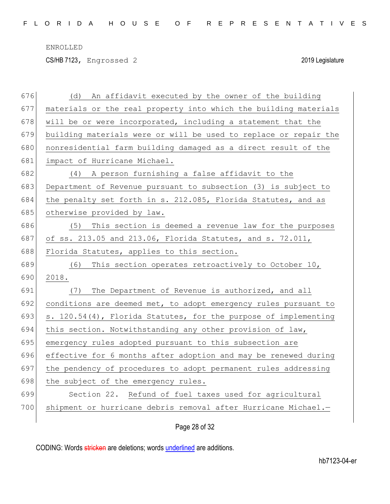CS/HB 7123, Engrossed 2 2019 Legislature

| 676 | An affidavit executed by the owner of the building<br>(d)        |
|-----|------------------------------------------------------------------|
| 677 | materials or the real property into which the building materials |
| 678 | will be or were incorporated, including a statement that the     |
| 679 | building materials were or will be used to replace or repair the |
| 680 | nonresidential farm building damaged as a direct result of the   |
| 681 | impact of Hurricane Michael.                                     |
| 682 | (4) A person furnishing a false affidavit to the                 |
| 683 | Department of Revenue pursuant to subsection (3) is subject to   |
| 684 | the penalty set forth in s. 212.085, Florida Statutes, and as    |
| 685 | otherwise provided by law.                                       |
| 686 | This section is deemed a revenue law for the purposes<br>(5)     |
| 687 | of ss. 213.05 and 213.06, Florida Statutes, and s. 72.011,       |
| 688 | Florida Statutes, applies to this section.                       |
| 689 | This section operates retroactively to October 10,<br>(6)        |
| 690 | 2018.                                                            |
| 691 | (7) The Department of Revenue is authorized, and all             |
| 692 | conditions are deemed met, to adopt emergency rules pursuant to  |
| 693 | s. 120.54(4), Florida Statutes, for the purpose of implementing  |
| 694 | this section. Notwithstanding any other provision of law,        |
| 695 | emergency rules adopted pursuant to this subsection are          |
| 696 | effective for 6 months after adoption and may be renewed during  |
| 697 | the pendency of procedures to adopt permanent rules addressing   |
| 698 | the subject of the emergency rules.                              |
| 699 | Section 22. Refund of fuel taxes used for agricultural           |
| 700 | shipment or hurricane debris removal after Hurricane Michael.-   |
|     |                                                                  |

Page 28 of 32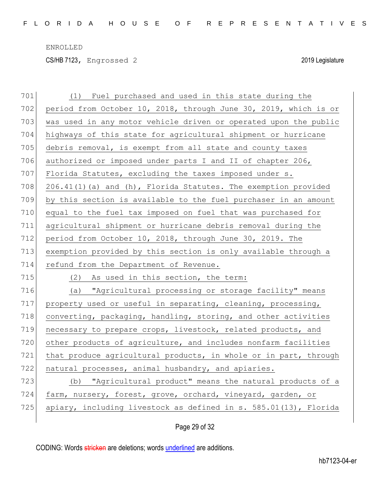CS/HB 7123, Engrossed 2 2019 Legislature

| 701 | (1) Fuel purchased and used in this state during the                |
|-----|---------------------------------------------------------------------|
| 702 | period from October 10, 2018, through June 30, 2019, which is or    |
| 703 | was used in any motor vehicle driven or operated upon the public    |
| 704 | highways of this state for agricultural shipment or hurricane       |
| 705 | debris removal, is exempt from all state and county taxes           |
| 706 | authorized or imposed under parts I and II of chapter 206,          |
| 707 | Florida Statutes, excluding the taxes imposed under s.              |
| 708 | 206.41(1)(a) and (h), Florida Statutes. The exemption provided      |
| 709 | by this section is available to the fuel purchaser in an amount     |
| 710 | equal to the fuel tax imposed on fuel that was purchased for        |
| 711 | agricultural shipment or hurricane debris removal during the        |
| 712 | period from October 10, 2018, through June 30, 2019. The            |
| 713 | exemption provided by this section is only available through a      |
| 714 | refund from the Department of Revenue.                              |
| 715 | (2)<br>As used in this section, the term:                           |
|     |                                                                     |
| 716 | (a) "Agricultural processing or storage facility" means             |
| 717 | property used or useful in separating, cleaning, processing,        |
| 718 | converting, packaging, handling, storing, and other activities      |
| 719 | necessary to prepare crops, livestock, related products, and        |
| 720 | other products of agriculture, and includes nonfarm facilities      |
| 721 | that produce agricultural products, in whole or in part, through    |
| 722 | natural processes, animal husbandry, and apiaries.                  |
| 723 | (b) "Agricultural product" means the natural products of a          |
| 724 | farm, nursery, forest, grove, orchard, vineyard, garden, or         |
| 725 | apiary, including livestock as defined in $s. 585.01(13)$ , Florida |

Page 29 of 32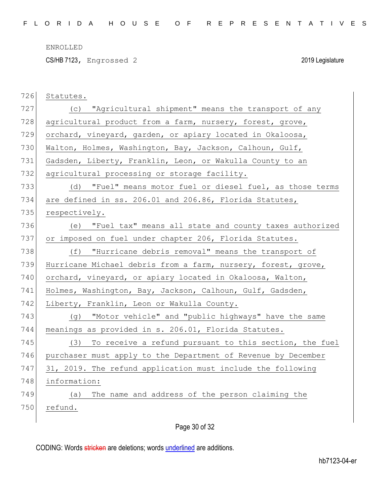CS/HB 7123, Engrossed 2 2019 Legislature

| 726 | Statutes.                                                     |
|-----|---------------------------------------------------------------|
| 727 | (c) "Agricultural shipment" means the transport of any        |
| 728 | agricultural product from a farm, nursery, forest, grove,     |
| 729 | orchard, vineyard, garden, or apiary located in Okaloosa,     |
| 730 | Walton, Holmes, Washington, Bay, Jackson, Calhoun, Gulf,      |
| 731 | Gadsden, Liberty, Franklin, Leon, or Wakulla County to an     |
| 732 | agricultural processing or storage facility.                  |
| 733 | "Fuel" means motor fuel or diesel fuel, as those terms<br>(d) |
| 734 | are defined in ss. 206.01 and 206.86, Florida Statutes,       |
| 735 | respectively.                                                 |
| 736 | (e) "Fuel tax" means all state and county taxes authorized    |
| 737 | or imposed on fuel under chapter 206, Florida Statutes.       |
| 738 | "Hurricane debris removal" means the transport of<br>(f)      |
| 739 | Hurricane Michael debris from a farm, nursery, forest, grove, |
| 740 | orchard, vineyard, or apiary located in Okaloosa, Walton,     |
| 741 | Holmes, Washington, Bay, Jackson, Calhoun, Gulf, Gadsden,     |
| 742 | Liberty, Franklin, Leon or Wakulla County.                    |
| 743 | "Motor vehicle" and "public highways" have the same<br>(a)    |
| 744 | meanings as provided in s. 206.01, Florida Statutes.          |
| 745 | To receive a refund pursuant to this section, the fuel<br>(3) |
| 746 | purchaser must apply to the Department of Revenue by December |
| 747 | 31, 2019. The refund application must include the following   |
| 748 | information:                                                  |
| 749 | The name and address of the person claiming the<br>(a)        |
| 750 | refund.                                                       |
|     |                                                               |

Page 30 of 32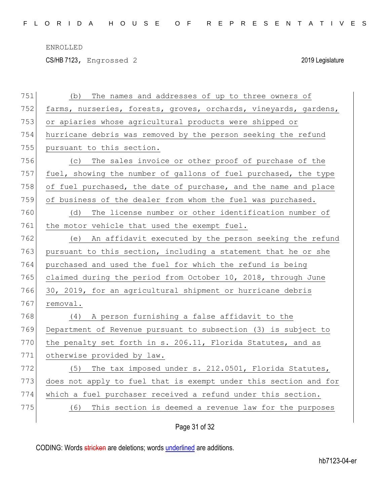CS/HB 7123, Engrossed 2 2019 Legislature

| 751 | The names and addresses of up to three owners of<br>(b)          |
|-----|------------------------------------------------------------------|
| 752 | farms, nurseries, forests, groves, orchards, vineyards, gardens, |
| 753 | or apiaries whose agricultural products were shipped or          |
| 754 | hurricane debris was removed by the person seeking the refund    |
| 755 | pursuant to this section.                                        |
| 756 | (c) The sales invoice or other proof of purchase of the          |
| 757 | fuel, showing the number of gallons of fuel purchased, the type  |
| 758 | of fuel purchased, the date of purchase, and the name and place  |
| 759 | of business of the dealer from whom the fuel was purchased.      |
| 760 | The license number or other identification number of<br>(d)      |
| 761 | the motor vehicle that used the exempt fuel.                     |
| 762 | (e) An affidavit executed by the person seeking the refund       |
| 763 | pursuant to this section, including a statement that he or she   |
| 764 | purchased and used the fuel for which the refund is being        |
| 765 | claimed during the period from October 10, 2018, through June    |
| 766 | 30, 2019, for an agricultural shipment or hurricane debris       |
| 767 | removal.                                                         |
| 768 | (4) A person furnishing a false affidavit to the                 |
| 769 | Department of Revenue pursuant to subsection (3) is subject to   |
| 770 | the penalty set forth in s. 206.11, Florida Statutes, and as     |
| 771 | otherwise provided by law.                                       |
| 772 | (5) The tax imposed under s. 212.0501, Florida Statutes,         |
| 773 | does not apply to fuel that is exempt under this section and for |
| 774 | which a fuel purchaser received a refund under this section.     |
| 775 | This section is deemed a revenue law for the purposes<br>(6)     |
|     |                                                                  |

# Page 31 of 32